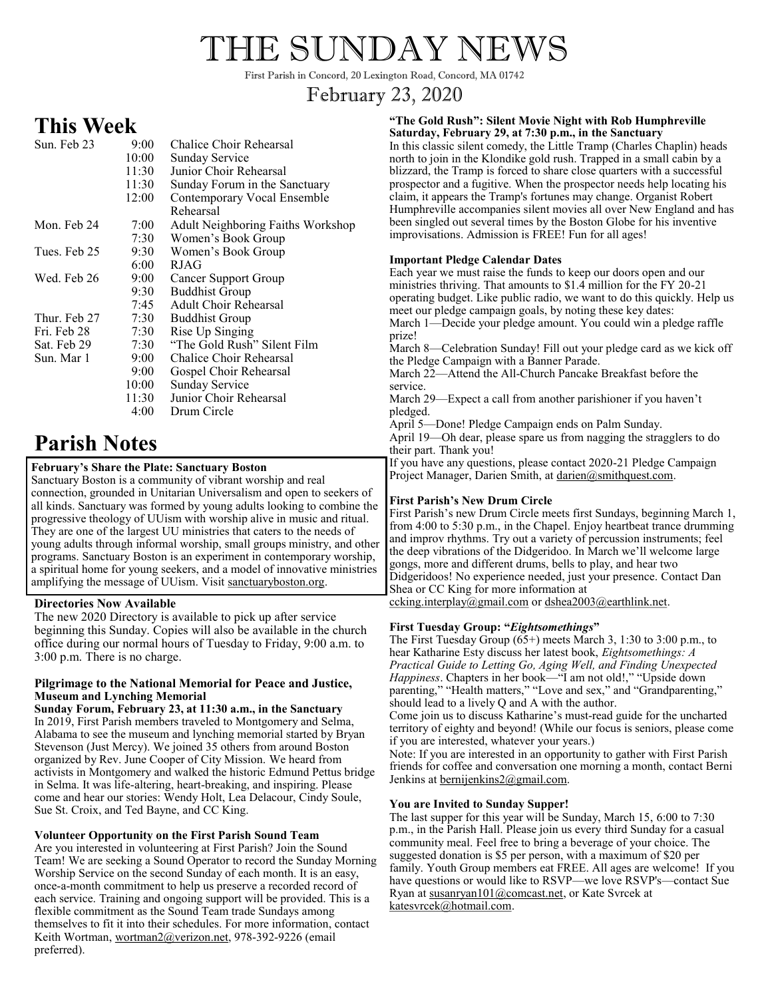# THE SUNDAY NEWS

First Parish in Concord, 20 Lexington Road, Concord, MA 01742

# February 23, 2020

# **This Week**

| Sun. Feb 23  | 9:00       | Chalice Choir Rehearsal                  |
|--------------|------------|------------------------------------------|
|              | 10:00      | Sunday Service                           |
|              | 11:30      | Junior Choir Rehearsal                   |
|              | 11:30      | Sunday Forum in the Sanctuary            |
|              | 12:00      | Contemporary Vocal Ensemble              |
|              |            | Rehearsal                                |
| Mon. Feb 24  | 7:00       | <b>Adult Neighboring Faiths Workshop</b> |
|              | 7:30       | Women's Book Group                       |
| Tues. Feb 25 | 9:30       | Women's Book Group                       |
|              | 6:00       | <b>RJAG</b>                              |
| Wed. Feb 26  | $9:00^{-}$ | Cancer Support Group                     |
|              | 9:30       | <b>Buddhist Group</b>                    |
|              | 7:45       | <b>Adult Choir Rehearsal</b>             |
| Thur. Feb 27 | 7:30       | <b>Buddhist Group</b>                    |
| Fri. Feb 28  | 7:30       | Rise Up Singing                          |
| Sat. Feb 29  | 7:30       | "The Gold Rush" Silent Film              |
| Sun. Mar 1   | 9:00       | Chalice Choir Rehearsal                  |
|              | 9:00       | Gospel Choir Rehearsal                   |
|              | 10:00      | Sunday Service                           |
|              | 11:30      | Junior Choir Rehearsal                   |
|              | 4:00       | Drum Circle                              |
|              |            |                                          |

# **Parish Notes**

# **February's Share the Plate: Sanctuary Boston**

Sanctuary Boston is a community of vibrant worship and real connection, grounded in Unitarian Universalism and open to seekers of all kinds. Sanctuary was formed by young adults looking to combine the progressive theology of UUism with worship alive in music and ritual. They are one of the largest UU ministries that caters to the needs of young adults through informal worship, small groups ministry, and other programs. Sanctuary Boston is an experiment in contemporary worship, a spiritual home for young seekers, and a model of innovative ministries amplifying the message of UUism. Visit sanctuaryboston.org.

# **Directories Now Available**

The new 2020 Directory is available to pick up after service beginning this Sunday. Copies will also be available in the church office during our normal hours of Tuesday to Friday, 9:00 a.m. to 3:00 p.m. There is no charge.

#### **Pilgrimage to the National Memorial for Peace and Justice, Museum and Lynching Memorial**

**Sunday Forum, February 23, at 11:30 a.m., in the Sanctuary** In 2019, First Parish members traveled to Montgomery and Selma, Alabama to see the museum and lynching memorial started by Bryan Stevenson (Just Mercy). We joined 35 others from around Boston organized by Rev. June Cooper of City Mission. We heard from activists in Montgomery and walked the historic Edmund Pettus bridge in Selma. It was life-altering, heart-breaking, and inspiring. Please come and hear our stories: Wendy Holt, Lea Delacour, Cindy Soule, Sue St. Croix, and Ted Bayne, and CC King.

### **Volunteer Opportunity on the First Parish Sound Team**

Are you interested in volunteering at First Parish? Join the Sound Team! We are seeking a Sound Operator to record the Sunday Morning Worship Service on the second Sunday of each month. It is an easy, once-a-month commitment to help us preserve a recorded record of each service. Training and ongoing support will be provided. This is a flexible commitment as the Sound Team trade Sundays among themselves to fit it into their schedules. For more information, contact Keith Wortman, wortman2@verizon.net, 978-392-9226 (email preferred).

#### **"The Gold Rush": Silent Movie Night with Rob Humphreville Saturday, February 29, at 7:30 p.m., in the Sanctuary**

In this classic silent comedy, the Little Tramp (Charles Chaplin) heads north to join in the Klondike gold rush. Trapped in a small cabin by a blizzard, the Tramp is forced to share close quarters with a successful prospector and a fugitive. When the prospector needs help locating his claim, it appears the Tramp's fortunes may change. Organist Robert Humphreville accompanies silent movies all over New England and has been singled out several times by the Boston Globe for his inventive improvisations. Admission is FREE! Fun for all ages!

### **Important Pledge Calendar Dates**

Each year we must raise the funds to keep our doors open and our ministries thriving. That amounts to \$1.4 million for the FY 20-21 operating budget. Like public radio, we want to do this quickly. Help us meet our pledge campaign goals, by noting these key dates: March 1—Decide your pledge amount. You could win a pledge raffle prize! March 8—Celebration Sunday! Fill out your pledge card as we kick off the Pledge Campaign with a Banner Parade. March 22—Attend the All-Church Pancake Breakfast before the service. March 29—Expect a call from another parishioner if you haven't pledged. April 5—Done! Pledge Campaign ends on Palm Sunday. April 19—Oh dear, please spare us from nagging the stragglers to do their part. Thank you! If you have any questions, please contact 2020-21 Pledge Campaign Project Manager, Darien Smith, at darien@smithquest.com.

### **First Parish's New Drum Circle**

First Parish's new Drum Circle meets first Sundays, beginning March 1, from 4:00 to 5:30 p.m., in the Chapel. Enjoy heartbeat trance drumming and improv rhythms. Try out a variety of percussion instruments; feel the deep vibrations of the Didgeridoo. In March we'll welcome large gongs, more and different drums, bells to play, and hear two Didgeridoos! No experience needed, just your presence. Contact Dan Shea or CC King for more information at ccking.interplay@gmail.com or dshea2003@earthlink.net.

### **First Tuesday Group: "***Eightsomethings***"**

The First Tuesday Group (65+) meets March 3, 1:30 to 3:00 p.m., to hear Katharine Esty discuss her latest book, *Eightsomethings: A Practical Guide to Letting Go, Aging Well, and Finding Unexpected Happiness*. Chapters in her book—"I am not old!," "Upside down parenting," "Health matters," "Love and sex," and "Grandparenting," should lead to a lively  $Q$  and  $A$  with the author.

Come join us to discuss Katharine's must-read guide for the uncharted territory of eighty and beyond! (While our focus is seniors, please come if you are interested, whatever your years.)

Note: If you are interested in an opportunity to gather with First Parish friends for coffee and conversation one morning a month, contact Berni Jenkins at **bernijenkins**2@gmail.com.

### **You are Invited to Sunday Supper!**

The last supper for this year will be Sunday, March 15, 6:00 to 7:30 p.m., in the Parish Hall. Please join us every third Sunday for a casual community meal. Feel free to bring a beverage of your choice. The suggested donation is \$5 per person, with a maximum of \$20 per family. Youth Group members eat FREE. All ages are welcome! If you have questions or would like to RSVP—we love RSVP's—contact Sue Ryan at susanryan101@comcast.net, or Kate Svrcek at katesvrcek@hotmail.com.